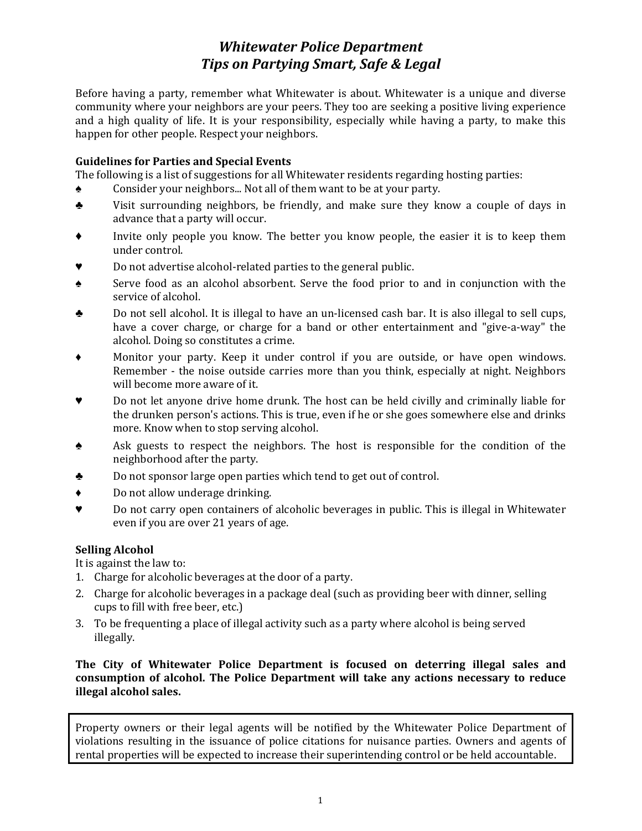## *Whitewater Police Department Tips on Partying Smart, Safe & Legal*

Before having a party, remember what Whitewater is about. Whitewater is a unique and diverse community where your neighbors are your peers. They too are seeking a positive living experience and a high quality of life. It is your responsibility, especially while having a party, to make this happen for other people. Respect your neighbors.

#### **Guidelines for Parties and Special Events**

The following is a list of suggestions for all Whitewater residents regarding hosting parties:

- ♠ Consider your neighbors... Not all of them want to be at your party.
- ♣ Visit surrounding neighbors, be friendly, and make sure they know a couple of days in advance that a party will occur.
- Invite only people you know. The better you know people, the easier it is to keep them under control.
- Do not advertise alcohol-related parties to the general public.
- ♠ Serve food as an alcohol absorbent. Serve the food prior to and in conjunction with the service of alcohol.
- ♣ Do not sell alcohol. It is illegal to have an un‐licensed cash bar. It is also illegal to sell cups, have a cover charge, or charge for a band or other entertainment and "give-a-way" the alcohol. Doing so constitutes a crime.
- ♦ Monitor your party. Keep it under control if you are outside, or have open windows. Remember - the noise outside carries more than you think, especially at night. Neighbors will become more aware of it.
- ♥ Do not let anyone drive home drunk. The host can be held civilly and criminally liable for the drunken person's actions. This is true, even if he or she goes somewhere else and drinks more. Know when to stop serving alcohol.
- ♠ Ask guests to respect the neighbors. The host is responsible for the condition of the neighborhood after the party.
- ♣ Do not sponsor large open parties which tend to get out of control.
- ♦ Do not allow underage drinking.
- ♥ Do not carry open containers of alcoholic beverages in public. This is illegal in Whitewater even if you are over 21 years of age.

## **Selling Alcohol**

It is against the law to:

- 1. Charge for alcoholic beverages at the door of a party.
- 2. Charge for alcoholic beverages in a package deal (such as providing beer with dinner, selling cups to fill with free beer, etc.)
- 3. To be frequenting a place of illegal activity such as a party where alcohol is being served illegally.

#### **The City of Whitewater Police Department is focused on deterring illegal sales and consumption of alcohol. The Police Department will take any actions necessary to reduce illegal alcohol sales.**

Property owners or their legal agents will be notified by the Whitewater Police Department of violations resulting in the issuance of police citations for nuisance parties. Owners and agents of rental properties will be expected to increase their superintending control or be held accountable.